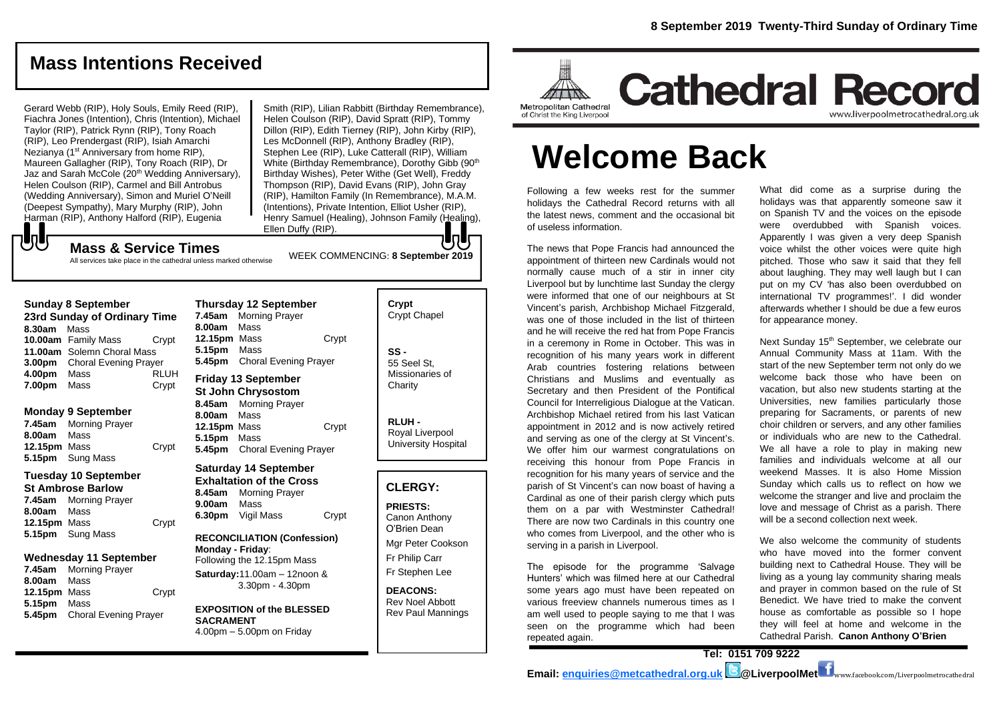# **Mass Intentions Received**

Gerard Webb (RIP), Holy Souls, Emily Reed (RIP), Fiachra Jones (Intention), Chris (Intention), Michael Taylor (RIP), Patrick Rynn (RIP), Tony Roach (RIP), Leo Prendergast (RIP), Isiah Amarchi Nezianya (1<sup>st</sup> Anniversary from home RIP), Maureen Gallagher (RIP), Tony Roach (RIP), Dr Jaz and Sarah McCole (20<sup>th</sup> Wedding Anniversary), Helen Coulson (RIP), Carmel and Bill Antrobus (Wedding Anniversary), Simon and Muriel O'Neill (Deepest Sympathy), Mary Murphy (RIP), John Harman (RIP), Anthony Halford (RIP), Eugenia

Smith (RIP), Lilian Rabbitt (Birthday Remembrance), Helen Coulson (RIP), David Spratt (RIP), Tommy Dillon (RIP), Edith Tierney (RIP), John Kirby (RIP), Les McDonnell (RIP), Anthony Bradley (RIP), Stephen Lee (RIP), Luke Catterall (RIP), William White (Birthday Remembrance), Dorothy Gibb (90<sup>th</sup> Birthday Wishes), Peter Withe (Get Well), Freddy Thompson (RIP), David Evans (RIP), John Gray (RIP), Hamilton Family (In Remembrance), M.A.M. (Intentions), Private Intention, Elliot Usher (RIP), Henry Samuel (Healing), Johnson Family (Healing), Ellen Duffy (RIP). IoH

WEEK COMMENCING: **8 September 2019**

**Mass & Service Times** All services take place in the cathedral unless marked otherwise

**Sunday 8 September** 

もし

|                              | Sunday of September          |       |  |
|------------------------------|------------------------------|-------|--|
| 23rd Sunday of Ordinary Time |                              |       |  |
| 8.30am                       | Mass                         |       |  |
|                              | 10.00am Family Mass          | Crypt |  |
|                              | 11.00am Solemn Choral Mass   |       |  |
| 3.00 <sub>pm</sub>           | <b>Choral Evening Prayer</b> |       |  |
| 4.00pm                       | Mass                         | RLUH  |  |
| 7.00pm                       | Mass                         | Crypt |  |
|                              |                              |       |  |

#### **Monday 9 September**

**7.45am** Morning Prayer **8.00am** Mass **12.15pm** Mass Crypt **5.15pm** Sung Mass

#### **Tuesday 10 September**

**St Ambrose Barlow 7.45am** Morning Prayer **8.00am** Mass **12.15pm** Mass Crypt **5.15pm** Sung Mass

#### **Wednesday 11 September**

**7.45am** Morning Prayer **8.00am** Mass **12.15pm** Mass Crypt **5.15pm** Mass **5.45pm** Choral Evening Prayer

**Thursday 12 September 7.45am** Morning Prayer **8.00am** Mass **12.15pm** Mass Crypt **5.15pm** Mass **5.45pm** Choral Evening Prayer **Friday 13 September St John Chrysostom**

**8.45am** Morning Prayer **8.00am** Mass **12.15pm** Mass Crypt **5.15pm** Mass **5.45pm** Choral Evening Prayer

#### **Saturday 14 September Exhaltation of the Cross 8.45am** Morning Prayer **9.00am** Mass **6.30pm** Vigil Mass Crypt

**RECONCILIATION (Confession) Monday - Friday**: Following the 12.15pm Mass

**Saturday:**11.00am – 12noon & 3.30pm - 4.30pm

**EXPOSITION of the BLESSED SACRAMENT** 4.00pm – 5.00pm on Friday

| Crypt<br><b>Crypt Chapel</b>                      |  |
|---------------------------------------------------|--|
| SS -<br>55 Seel St.<br>Missionaries of<br>Charity |  |

**RLUH -** Royal Liverpool University Hospital

### **CLERGY:**

**PRIESTS:** Canon Anthony O'Brien *Dean*

Mgr Peter Cookson Fr Philip Carr Fr Stephen Lee

**DEACONS:** Rev Noel Abbott Rev Paul Mannings



# **Welcome Back**

Following a few weeks rest for the summer holidays the Cathedral Record returns with all the latest news, comment and the occasional bit of useless information.

The news that Pope Francis had announced the appointment of thirteen new Cardinals would not normally cause much of a stir in inner city Liverpool but by lunchtime last Sunday the clergy were informed that one of our neighbours at St Vincent's parish, Archbishop Michael Fitzgerald, was one of those included in the list of thirteen and he will receive the red hat from Pope Francis in a ceremony in Rome in October. This was in recognition of his many years work in different Arab countries fostering relations between Christians and Muslims and eventually as Secretary and then President of the Pontifical Council for Interreligious Dialogue at the Vatican. Archbishop Michael retired from his last Vatican appointment in 2012 and is now actively retired and serving as one of the clergy at St Vincent's. We offer him our warmest congratulations on receiving this honour from Pope Francis in recognition for his many years of service and the parish of St Vincent's can now boast of having a Cardinal as one of their parish clergy which puts them on a par with Westminster Cathedral! There are now two Cardinals in this country one who comes from Liverpool, and the other who is serving in a parish in Liverpool.

The episode for the programme 'Salvage Hunters' which was filmed here at our Cathedral some years ago must have been repeated on various freeview channels numerous times as I am well used to people saying to me that I was seen on the programme which had been repeated again.

What did come as a surprise during the holidays was that apparently someone saw it on Spanish TV and the voices on the episode were overdubbed with Spanish voices. Apparently I was given a very deep Spanish voice whilst the other voices were quite high pitched. Those who saw it said that they fell about laughing. They may well laugh but I can put on my CV 'has also been overdubbed on international TV programmes!'. I did wonder afterwards whether I should be due a few euros for appearance money.

Next Sunday 15<sup>th</sup> September, we celebrate our Annual Community Mass at 11am. With the start of the new September term not only do we welcome back those who have been on vacation, but also new students starting at the Universities, new families particularly those preparing for Sacraments, or parents of new choir children or servers, and any other families or individuals who are new to the Cathedral. We all have a role to play in making new families and individuals welcome at all our weekend Masses. It is also Home Mission Sunday which calls us to reflect on how we welcome the stranger and live and proclaim the love and message of Christ as a parish. There will be a second collection next week.

We also welcome the community of students who have moved into the former convent building next to Cathedral House. They will be living as a young lay community sharing meals and prayer in common based on the rule of St Benedict. We have tried to make the convent house as comfortable as possible so I hope they will feel at home and welcome in the Cathedral Parish. **Canon Anthony O'Brien**

**Tel: 0151 709 9222**